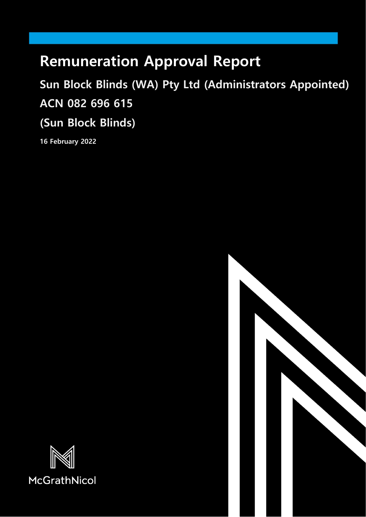# **Remuneration Approval Report**

# **Sun Block Blinds (WA) Pty Ltd (Administrators Appointed) ACN 082 696 615**

**(Sun Block Blinds)**

**16 February 2022**



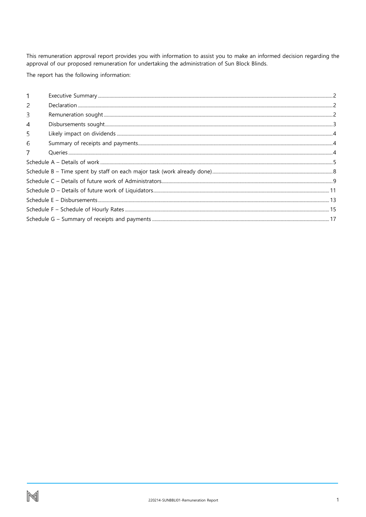This remuneration approval report provides you with information to assist you to make an informed decision regarding the approval of our proposed remuneration for undertaking the administration of Sun Block Blinds.

The report has the following information: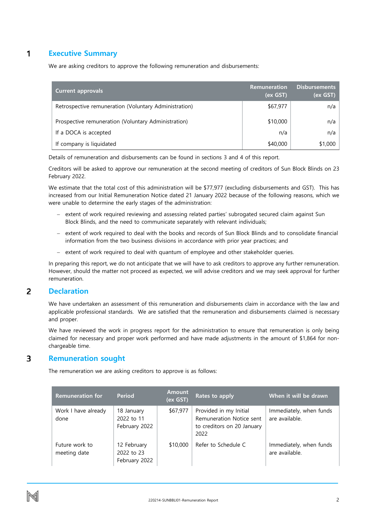#### <span id="page-2-0"></span>1 **Executive Summary**

We are asking creditors to approve the following remuneration and disbursements:

| <b>Current approvals</b>                              | <b>Remuneration</b><br>(ex GST) | <b>Disbursements</b><br>(ex GST) |
|-------------------------------------------------------|---------------------------------|----------------------------------|
| Retrospective remuneration (Voluntary Administration) | \$67,977                        | n/a                              |
| Prospective remuneration (Voluntary Administration)   | \$10,000                        | n/a                              |
| If a DOCA is accepted                                 | n/a                             | n/a                              |
| If company is liquidated                              | \$40,000                        | \$1,000                          |

Details of remuneration and disbursements can be found in sections 3 and 4 of this report.

Creditors will be asked to approve our remuneration at the second meeting of creditors of Sun Block Blinds on 23 February 2022.

We estimate that the total cost of this administration will be \$77,977 (excluding disbursements and GST). This has increased from our Initial Remuneration Notice dated 21 January 2022 because of the following reasons, which we were unable to determine the early stages of the administration:

- − extent of work required reviewing and assessing related parties' subrogated secured claim against Sun Block Blinds, and the need to communicate separately with relevant individuals;
- − extent of work required to deal with the books and records of Sun Block Blinds and to consolidate financial information from the two business divisions in accordance with prior year practices; and
- − extent of work required to deal with quantum of employee and other stakeholder queries.

In preparing this report, we do not anticipate that we will have to ask creditors to approve any further remuneration. However, should the matter not proceed as expected, we will advise creditors and we may seek approval for further remuneration.

#### <span id="page-2-1"></span>2 **Declaration**

We have undertaken an assessment of this remuneration and disbursements claim in accordance with the law and applicable professional standards. We are satisfied that the remuneration and disbursements claimed is necessary and proper.

We have reviewed the work in progress report for the administration to ensure that remuneration is only being claimed for necessary and proper work performed and have made adjustments in the amount of \$1,864 for nonchargeable time.

#### <span id="page-2-2"></span>3 **Remuneration sought**

The remuneration we are asking creditors to approve is as follows:

| <b>Remuneration for</b>        | <b>Period</b>                              | <b>Amount</b><br>(ex GST) | Rates to apply                                                                           | When it will be drawn                     |
|--------------------------------|--------------------------------------------|---------------------------|------------------------------------------------------------------------------------------|-------------------------------------------|
| Work I have already<br>done    | 18 January<br>2022 to 11<br>February 2022  | \$67,977                  | Provided in my Initial<br>Remuneration Notice sent<br>to creditors on 20 January<br>2022 | Immediately, when funds<br>are available. |
| Future work to<br>meeting date | 12 February<br>2022 to 23<br>February 2022 | \$10,000                  | Refer to Schedule C                                                                      | Immediately, when funds<br>are available. |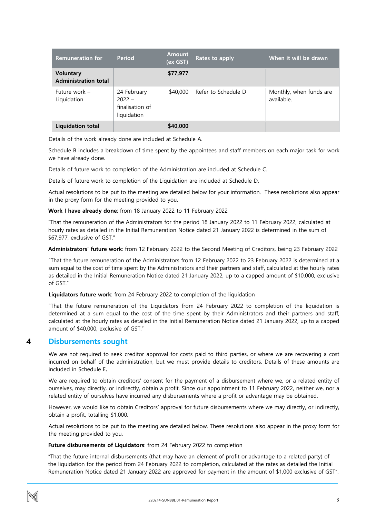| <b>Remuneration for</b>                         | <b>Period</b>                                             | <b>Amount</b><br>(ex GST) | Rates to apply      | When it will be drawn                 |
|-------------------------------------------------|-----------------------------------------------------------|---------------------------|---------------------|---------------------------------------|
| <b>Voluntary</b><br><b>Administration total</b> |                                                           | \$77,977                  |                     |                                       |
| Future work -<br>Liquidation                    | 24 February<br>$2022 -$<br>finalisation of<br>liquidation | \$40,000                  | Refer to Schedule D | Monthly, when funds are<br>available. |
| <b>Liquidation total</b>                        |                                                           | \$40,000                  |                     |                                       |

Details of the work already done are included at Schedule A.

Schedule B includes a breakdown of time spent by the appointees and staff members on each major task for work we have already done.

Details of future work to completion of the Administration are included at Schedule C.

Details of future work to completion of the Liquidation are included at Schedule D.

Actual resolutions to be put to the meeting are detailed below for your information. These resolutions also appear in the proxy form for the meeting provided to you.

### **Work I have already done**: from 18 January 2022 to 11 February 2022

"That the remuneration of the Administrators for the period 18 January 2022 to 11 February 2022, calculated at hourly rates as detailed in the Initial Remuneration Notice dated 21 January 2022 is determined in the sum of \$67,977, exclusive of GST."

**Administrators' future work**: from 12 February 2022 to the Second Meeting of Creditors, being 23 February 2022

"That the future remuneration of the Administrators from 12 February 2022 to 23 February 2022 is determined at a sum equal to the cost of time spent by the Administrators and their partners and staff, calculated at the hourly rates as detailed in the Initial Remuneration Notice dated 21 January 2022, up to a capped amount of \$10,000, exclusive of GST."

**Liquidators future work**: from 24 February 2022 to completion of the liquidation

"That the future remuneration of the Liquidators from 24 February 2022 to completion of the liquidation is determined at a sum equal to the cost of the time spent by their Administrators and their partners and staff, calculated at the hourly rates as detailed in the Initial Remuneration Notice dated 21 January 2022, up to a capped amount of \$40,000, exclusive of GST."

#### <span id="page-3-0"></span>4 **Disbursements sought**

We are not required to seek creditor approval for costs paid to third parties, or where we are recovering a cost incurred on behalf of the administration, but we must provide details to creditors. Details of these amounts are included in Schedule E**.**

We are required to obtain creditors' consent for the payment of a disbursement where we, or a related entity of ourselves, may directly, or indirectly, obtain a profit. Since our appointment to 11 February 2022, neither we, nor a related entity of ourselves have incurred any disbursements where a profit or advantage may be obtained.

However, we would like to obtain Creditors' approval for future disbursements where we may directly, or indirectly, obtain a profit, totalling \$1,000.

Actual resolutions to be put to the meeting are detailed below. These resolutions also appear in the proxy form for the meeting provided to you.

### **Future disbursements of Liquidators**: from 24 February 2022 to completion

"That the future internal disbursements (that may have an element of profit or advantage to a related party) of the liquidation for the period from 24 February 2022 to completion, calculated at the rates as detailed the Initial Remuneration Notice dated 21 January 2022 are approved for payment in the amount of \$1,000 exclusive of GST".

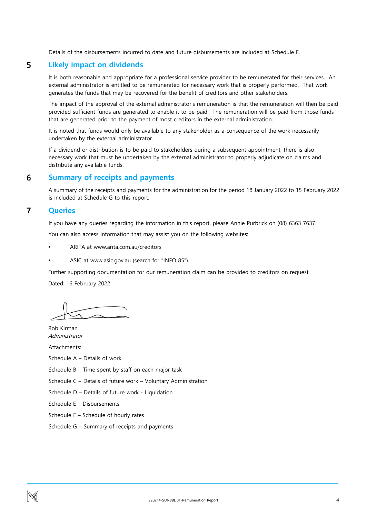Details of the disbursements incurred to date and future disbursements are included at Schedule E.

#### <span id="page-4-0"></span>5 **Likely impact on dividends**

It is both reasonable and appropriate for a professional service provider to be remunerated for their services. An external administrator is entitled to be remunerated for necessary work that is properly performed. That work generates the funds that may be recovered for the benefit of creditors and other stakeholders.

The impact of the approval of the external administrator's remuneration is that the remuneration will then be paid provided sufficient funds are generated to enable it to be paid. The remuneration will be paid from those funds that are generated prior to the payment of most creditors in the external administration.

It is noted that funds would only be available to any stakeholder as a consequence of the work necessarily undertaken by the external administrator.

If a dividend or distribution is to be paid to stakeholders during a subsequent appointment, there is also necessary work that must be undertaken by the external administrator to properly adjudicate on claims and distribute any available funds.

#### <span id="page-4-1"></span>6 **Summary of receipts and payments**

A summary of the receipts and payments for the administration for the period 18 January 2022 to 15 February 2022 is included at Schedule G to this report.

#### <span id="page-4-2"></span> $\overline{7}$ **Queries**

If you have any queries regarding the information in this report, please Annie Purbrick on (08) 6363 7637.

You can also access information that may assist you on the following websites:

- ARITA at www.arita.com.au/creditors
- ASIC at www.asic.gov.au (search for "INFO 85").

Further supporting documentation for our remuneration claim can be provided to creditors on request. Dated: 16 February 2022

Rob Kirman Administrator

Attachments:

Schedule A – Details of work

Schedule B – Time spent by staff on each major task

Schedule C – Details of future work – Voluntary Administration

Schedule D – Details of future work - Liquidation

Schedule E – Disbursements

Schedule F – Schedule of hourly rates

Schedule G – Summary of receipts and payments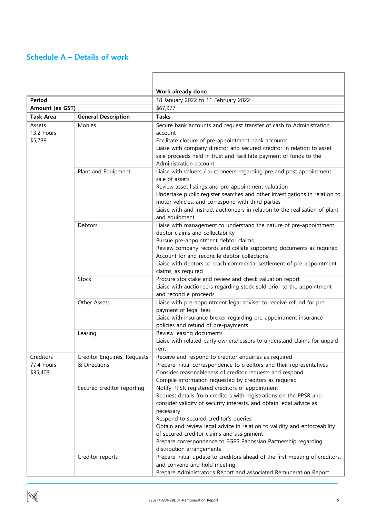### <span id="page-5-0"></span>**Schedule A – Details of work**

|                                     |                                              | Work already done                                                                                                                                                                                                                                                                                                                                                                                                                                                          |  |  |  |
|-------------------------------------|----------------------------------------------|----------------------------------------------------------------------------------------------------------------------------------------------------------------------------------------------------------------------------------------------------------------------------------------------------------------------------------------------------------------------------------------------------------------------------------------------------------------------------|--|--|--|
| Period                              |                                              | 18 January 2022 to 11 February 2022                                                                                                                                                                                                                                                                                                                                                                                                                                        |  |  |  |
| Amount (ex GST)                     |                                              | \$67,977                                                                                                                                                                                                                                                                                                                                                                                                                                                                   |  |  |  |
| <b>Task Area</b>                    | <b>General Description</b>                   | <b>Tasks</b>                                                                                                                                                                                                                                                                                                                                                                                                                                                               |  |  |  |
| Assets<br>13.2 hours<br>\$5,739     | Monies                                       | Secure bank accounts and request transfer of cash to Administration<br>account<br>Facilitate closure of pre-appointment bank accounts<br>Liaise with company director and secured creditor in relation to asset<br>sale proceeds held in trust and facilitate payment of funds to the<br>Administration account                                                                                                                                                            |  |  |  |
|                                     | Plant and Equipment                          | Liaise with valuers / auctioneers regarding pre and post appointment<br>sale of assets<br>Review asset listings and pre-appointment valuation<br>Undertake public register searches and other investigations in relation to<br>motor vehicles, and correspond with third parties<br>Liaise with and instruct auctioneers in relation to the realisation of plant<br>and equipment                                                                                          |  |  |  |
|                                     | Debtors                                      | Liaise with management to understand the nature of pre-appointment<br>debtor claims and collectability<br>Pursue pre-appointment debtor claims<br>Review company records and collate supporting documents as required<br>Account for and reconcile debtor collections<br>Liaise with debtors to reach commercial settlement of pre-appointment<br>claims, as required                                                                                                      |  |  |  |
|                                     | Stock                                        | Procure stocktake and review and check valuation report<br>Liaise with auctioneers regarding stock sold prior to the appointment<br>and reconcile proceeds                                                                                                                                                                                                                                                                                                                 |  |  |  |
|                                     | Other Assets                                 | Liaise with pre-appointment legal adviser to receive refund for pre-<br>payment of legal fees<br>Liaise with insurance broker regarding pre-appointment insurance<br>policies and refund of pre-payments                                                                                                                                                                                                                                                                   |  |  |  |
|                                     | Leasing                                      | Review leasing documents<br>Liaise with related party owners/lessors to understand claims for unpaid<br>rent                                                                                                                                                                                                                                                                                                                                                               |  |  |  |
| Creditors<br>77.4 hours<br>\$35,403 | Creditor Enquiries, Requests<br>& Directions | Receive and respond to creditor enquiries as required<br>Prepare initial correspondence to creditors and their representatives<br>Consider reasonableness of creditor requests and respond<br>Compile information requested by creditors as required                                                                                                                                                                                                                       |  |  |  |
|                                     | Secured creditor reporting                   | Notify PPSR registered creditors of appointment<br>Request details from creditors with registrations on the PPSR and<br>consider validity of security interests, and obtain legal advice as<br>necessary<br>Respond to secured creditor's queries<br>Obtain and review legal advice in relation to validity and enforceability<br>of secured creditor claims and assignment<br>Prepare correspondence to EGPS Panossian Partnership regarding<br>distribution arrangements |  |  |  |
|                                     | Creditor reports                             | Prepare initial update to creditors ahead of the first meeting of creditors,<br>and convene and hold meeting<br>Prepare Administrator's Report and associated Remuneration Report                                                                                                                                                                                                                                                                                          |  |  |  |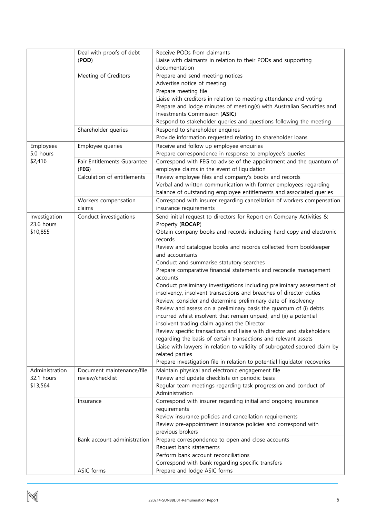|                | Deal with proofs of debt    | Receive PODs from claimants                                                |
|----------------|-----------------------------|----------------------------------------------------------------------------|
|                | (POD)                       | Liaise with claimants in relation to their PODs and supporting             |
|                |                             | documentation                                                              |
|                | Meeting of Creditors        | Prepare and send meeting notices                                           |
|                |                             | Advertise notice of meeting                                                |
|                |                             | Prepare meeting file                                                       |
|                |                             | Liaise with creditors in relation to meeting attendance and voting         |
|                |                             | Prepare and lodge minutes of meeting(s) with Australian Securities and     |
|                |                             | Investments Commission (ASIC)                                              |
|                |                             | Respond to stakeholder queries and questions following the meeting         |
|                | Shareholder queries         | Respond to shareholder enquires                                            |
|                |                             | Provide information requested relating to shareholder loans                |
|                |                             |                                                                            |
| Employees      | Employee queries            | Receive and follow up employee enquiries                                   |
| 5.0 hours      |                             | Prepare correspondence in response to employee's queries                   |
| \$2,416        | Fair Entitlements Guarantee | Correspond with FEG to advise of the appointment and the quantum of        |
|                | (FEG)                       | employee claims in the event of liquidation                                |
|                | Calculation of entitlements | Review employee files and company's books and records                      |
|                |                             | Verbal and written communication with former employees regarding           |
|                |                             | balance of outstanding employee entitlements and associated queries        |
|                | Workers compensation        | Correspond with insurer regarding cancellation of workers compensation     |
|                | claims                      | insurance requirements                                                     |
| Investigation  | Conduct investigations      | Send initial request to directors for Report on Company Activities &       |
| 23.6 hours     |                             | Property (ROCAP)                                                           |
| \$10,855       |                             | Obtain company books and records including hard copy and electronic        |
|                |                             | records                                                                    |
|                |                             | Review and catalogue books and records collected from bookkeeper           |
|                |                             | and accountants                                                            |
|                |                             | Conduct and summarise statutory searches                                   |
|                |                             | Prepare comparative financial statements and reconcile management          |
|                |                             | accounts                                                                   |
|                |                             | Conduct preliminary investigations including preliminary assessment of     |
|                |                             | insolvency, insolvent transactions and breaches of director duties         |
|                |                             | Review, consider and determine preliminary date of insolvency              |
|                |                             | Review and assess on a preliminary basis the quantum of (i) debts          |
|                |                             | incurred whilst insolvent that remain unpaid, and (ii) a potential         |
|                |                             | insolvent trading claim against the Director                               |
|                |                             | Review specific transactions and liaise with director and stakeholders     |
|                |                             | regarding the basis of certain transactions and relevant assets            |
|                |                             | Liaise with lawyers in relation to validity of subrogated secured claim by |
|                |                             | related parties                                                            |
|                |                             | Prepare investigation file in relation to potential liquidator recoveries  |
| Administration | Document maintenance/file   | Maintain physical and electronic engagement file                           |
| 32.1 hours     | review/checklist            | Review and update checklists on periodic basis                             |
| \$13,564       |                             | Regular team meetings regarding task progression and conduct of            |
|                |                             | Administration                                                             |
|                |                             |                                                                            |
|                | Insurance                   | Correspond with insurer regarding initial and ongoing insurance            |
|                |                             | requirements                                                               |
|                |                             | Review insurance policies and cancellation requirements                    |
|                |                             | Review pre-appointment insurance policies and correspond with              |
|                |                             | previous brokers                                                           |
|                | Bank account administration | Prepare correspondence to open and close accounts                          |
|                |                             | Request bank statements                                                    |
|                |                             | Perform bank account reconciliations                                       |
|                |                             | Correspond with bank regarding specific transfers                          |
|                | ASIC forms                  | Prepare and lodge ASIC forms                                               |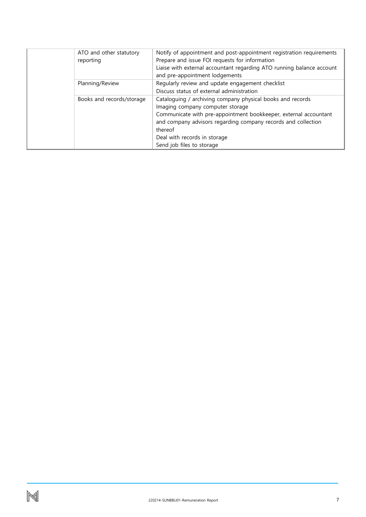| ATO and other statutory<br>reporting | Notify of appointment and post-appointment registration requirements<br>Prepare and issue FOI requests for information<br>Liaise with external accountant regarding ATO running balance account<br>and pre-appointment lodgements                                                                           |
|--------------------------------------|-------------------------------------------------------------------------------------------------------------------------------------------------------------------------------------------------------------------------------------------------------------------------------------------------------------|
| Planning/Review                      | Regularly review and update engagement checklist<br>Discuss status of external administration                                                                                                                                                                                                               |
| Books and records/storage            | Cataloguing / archiving company physical books and records<br>Imaging company computer storage<br>Communicate with pre-appointment bookkeeper, external accountant<br>and company advisors regarding company records and collection<br>thereof<br>Deal with records in storage<br>Send job files to storage |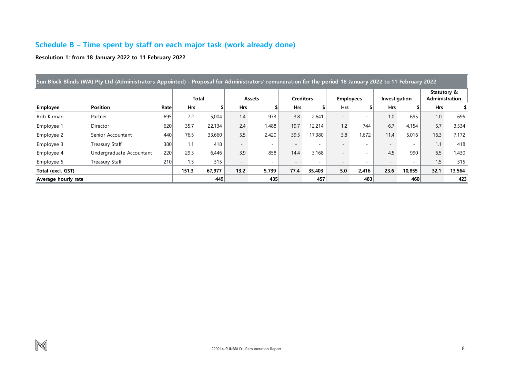## **Schedule B – Time spent by staff on each major task (work already done)**

**Resolution 1: from 18 January 2022 to 11 February 2022**

<span id="page-8-0"></span>

| Sun Block Blinds (WA) Pty Ltd (Administrators Appointed) - Proposal for Administrators' remuneration for the period 18 January 2022 to 11 February 2022 |                          |      |            |        |            |        |                  |        |                  |       |               |        |                                      |        |
|---------------------------------------------------------------------------------------------------------------------------------------------------------|--------------------------|------|------------|--------|------------|--------|------------------|--------|------------------|-------|---------------|--------|--------------------------------------|--------|
|                                                                                                                                                         |                          |      | Total      |        |            | Assets | <b>Creditors</b> |        | <b>Employees</b> |       | Investigation |        | Statutory &<br><b>Administration</b> |        |
| Employee                                                                                                                                                | <b>Position</b>          | Rate | <b>Hrs</b> |        | <b>Hrs</b> |        | <b>Hrs</b>       |        | <b>Hrs</b>       |       | <b>Hrs</b>    |        | <b>Hrs</b>                           |        |
| Rob Kirman                                                                                                                                              | Partner                  | 695  | 7.2        | 5,004  | 1.4        | 973    | 3.8              | 2,641  |                  | ۰     | 1.0           | 695    | 1.0                                  | 695    |
| Employee 1                                                                                                                                              | Director                 | 620  | 35.7       | 22,134 | 2.4        | 1,488  | 19.7             | 12,214 | 1.2              | 744   | 6.7           | 4,154  | 5.7                                  | 3,534  |
| Employee 2                                                                                                                                              | Senior Accountant        | 440  | 76.5       | 33,660 | 5.5        | 2,420  | 39.5             | 17,380 | 3.8              | 1,672 | 11.4          | 5,016  | 16.3                                 | 7,172  |
| Employee 3                                                                                                                                              | Treasury Staff           | 380  | 1.1        | 418    |            |        |                  |        |                  |       |               |        | 1.1                                  | 418    |
| Employee 4                                                                                                                                              | Undergraduate Accountant | 220  | 29.3       | 6,446  | 3.9        | 858    | 14.4             | 3,168  |                  | ۰     | 4.5           | 990    | 6.5                                  | 1,430  |
| Employee 5                                                                                                                                              | Treasury Staff           | 210  | 1.5        | 315    |            | $\sim$ |                  |        |                  |       |               |        | 1.5                                  | 315    |
| Total (excl. GST)                                                                                                                                       |                          |      | 151.3      | 67,977 | 13.2       | 5,739  | 77.4             | 35,403 | 5.0              | 2,416 | 23.6          | 10,855 | 32.1                                 | 13,564 |
| Average hourly rate                                                                                                                                     |                          |      |            | 449    |            | 435    |                  | 457    |                  | 483   |               | 460    |                                      | 423    |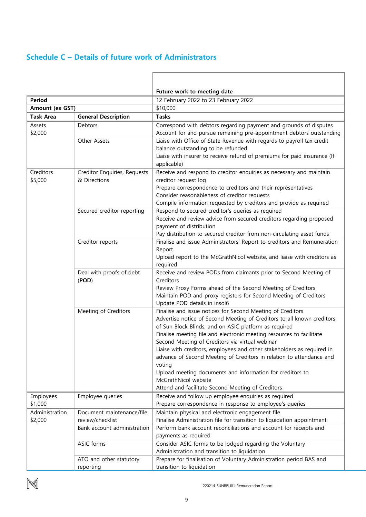### <span id="page-9-0"></span>**Schedule C – Details of future work of Administrators**

i.

|                      |                                              | Future work to meeting date                                                                                                                                                                                                                                                                                                                                                                        |  |  |  |  |
|----------------------|----------------------------------------------|----------------------------------------------------------------------------------------------------------------------------------------------------------------------------------------------------------------------------------------------------------------------------------------------------------------------------------------------------------------------------------------------------|--|--|--|--|
| Period               |                                              | 12 February 2022 to 23 February 2022                                                                                                                                                                                                                                                                                                                                                               |  |  |  |  |
| Amount (ex GST)      |                                              | \$10,000                                                                                                                                                                                                                                                                                                                                                                                           |  |  |  |  |
| <b>Task Area</b>     | <b>General Description</b>                   | <b>Tasks</b>                                                                                                                                                                                                                                                                                                                                                                                       |  |  |  |  |
| Assets<br>\$2,000    | Debtors                                      | Correspond with debtors regarding payment and grounds of disputes                                                                                                                                                                                                                                                                                                                                  |  |  |  |  |
|                      | Other Assets                                 | Account for and pursue remaining pre-appointment debtors outstanding<br>Liaise with Office of State Revenue with regards to payroll tax credit<br>balance outstanding to be refunded                                                                                                                                                                                                               |  |  |  |  |
|                      |                                              | Liaise with insurer to receive refund of premiums for paid insurance (If<br>applicable)                                                                                                                                                                                                                                                                                                            |  |  |  |  |
| Creditors<br>\$5,000 | Creditor Enquiries, Requests<br>& Directions | Receive and respond to creditor enquiries as necessary and maintain<br>creditor request log                                                                                                                                                                                                                                                                                                        |  |  |  |  |
|                      |                                              | Prepare correspondence to creditors and their representatives<br>Consider reasonableness of creditor requests                                                                                                                                                                                                                                                                                      |  |  |  |  |
|                      |                                              | Compile information requested by creditors and provide as required                                                                                                                                                                                                                                                                                                                                 |  |  |  |  |
|                      | Secured creditor reporting                   | Respond to secured creditor's queries as required<br>Receive and review advice from secured creditors regarding proposed<br>payment of distribution                                                                                                                                                                                                                                                |  |  |  |  |
|                      |                                              | Pay distribution to secured creditor from non-circulating asset funds                                                                                                                                                                                                                                                                                                                              |  |  |  |  |
|                      | Creditor reports                             | Finalise and issue Administrators' Report to creditors and Remuneration<br>Report<br>Upload report to the McGrathNicol website, and liaise with creditors as                                                                                                                                                                                                                                       |  |  |  |  |
|                      |                                              | required                                                                                                                                                                                                                                                                                                                                                                                           |  |  |  |  |
|                      | Deal with proofs of debt<br>(POD)            | Receive and review PODs from claimants prior to Second Meeting of<br>Creditors                                                                                                                                                                                                                                                                                                                     |  |  |  |  |
|                      |                                              | Review Proxy Forms ahead of the Second Meeting of Creditors<br>Maintain POD and proxy registers for Second Meeting of Creditors<br>Update POD details in insol6                                                                                                                                                                                                                                    |  |  |  |  |
|                      | Meeting of Creditors                         | Finalise and issue notices for Second Meeting of Creditors<br>Advertise notice of Second Meeting of Creditors to all known creditors<br>of Sun Block Blinds, and on ASIC platform as required<br>Finalise meeting file and electronic meeting resources to facilitate<br>Second Meeting of Creditors via virtual webinar<br>Liaise with creditors, employees and other stakeholders as required in |  |  |  |  |
|                      |                                              | advance of Second Meeting of Creditors in relation to attendance and<br>voting<br>Upload meeting documents and information for creditors to<br>McGrathNicol website                                                                                                                                                                                                                                |  |  |  |  |
|                      |                                              | Attend and facilitate Second Meeting of Creditors                                                                                                                                                                                                                                                                                                                                                  |  |  |  |  |
| Employees<br>\$1,000 | Employee queries                             | Receive and follow up employee enquiries as required<br>Prepare correspondence in response to employee's queries                                                                                                                                                                                                                                                                                   |  |  |  |  |
| Administration       | Document maintenance/file                    | Maintain physical and electronic engagement file                                                                                                                                                                                                                                                                                                                                                   |  |  |  |  |
| \$2,000              | review/checklist                             | Finalise Administration file for transition to liquidation appointment                                                                                                                                                                                                                                                                                                                             |  |  |  |  |
|                      | Bank account administration                  | Perform bank account reconciliations and account for receipts and<br>payments as required                                                                                                                                                                                                                                                                                                          |  |  |  |  |
|                      | ASIC forms                                   | Consider ASIC forms to be lodged regarding the Voluntary<br>Administration and transition to liquidation                                                                                                                                                                                                                                                                                           |  |  |  |  |
|                      | ATO and other statutory                      | Prepare for finalisation of Voluntary Administration period BAS and                                                                                                                                                                                                                                                                                                                                |  |  |  |  |
|                      | reporting                                    | transition to liquidation                                                                                                                                                                                                                                                                                                                                                                          |  |  |  |  |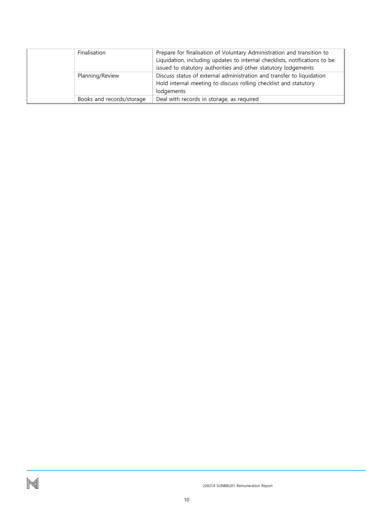| Finalisation              | Prepare for finalisation of Voluntary Administration and transition to<br>Liquidation, including updates to internal checklists, notifications to be<br>issued to statutory authorities and other statutory lodgements |
|---------------------------|------------------------------------------------------------------------------------------------------------------------------------------------------------------------------------------------------------------------|
| Planning/Review           | Discuss status of external administration and transfer to liquidation<br>Hold internal meeting to discuss rolling checklist and statutory<br>lodgements                                                                |
| Books and records/storage | Deal with records in storage, as required                                                                                                                                                                              |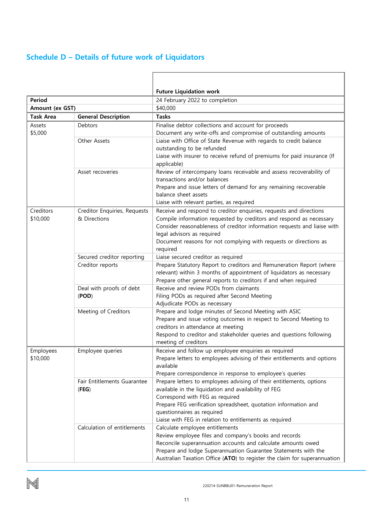# <span id="page-11-0"></span>**Schedule D – Details of future work of Liquidators**

|                  |                              | <b>Future Liquidation work</b>                                                                         |  |  |  |
|------------------|------------------------------|--------------------------------------------------------------------------------------------------------|--|--|--|
| Period           |                              | 24 February 2022 to completion                                                                         |  |  |  |
| Amount (ex GST)  |                              | \$40,000                                                                                               |  |  |  |
| <b>Task Area</b> | <b>General Description</b>   | <b>Tasks</b>                                                                                           |  |  |  |
| Assets           | Debtors                      | Finalise debtor collections and account for proceeds                                                   |  |  |  |
| \$5,000          |                              | Document any write-offs and compromise of outstanding amounts                                          |  |  |  |
|                  | Other Assets                 | Liaise with Office of State Revenue with regards to credit balance                                     |  |  |  |
|                  |                              | outstanding to be refunded                                                                             |  |  |  |
|                  |                              | Liaise with insurer to receive refund of premiums for paid insurance (If                               |  |  |  |
|                  |                              | applicable)                                                                                            |  |  |  |
|                  | Asset recoveries             | Review of intercompany loans receivable and assess recoverability of                                   |  |  |  |
|                  |                              | transactions and/or balances                                                                           |  |  |  |
|                  |                              | Prepare and issue letters of demand for any remaining recoverable                                      |  |  |  |
|                  |                              | balance sheet assets                                                                                   |  |  |  |
|                  |                              | Liaise with relevant parties, as required                                                              |  |  |  |
| Creditors        | Creditor Enquiries, Requests | Receive and respond to creditor enquiries, requests and directions                                     |  |  |  |
| \$10,000         | & Directions                 | Compile information requested by creditors and respond as necessary                                    |  |  |  |
|                  |                              | Consider reasonableness of creditor information requests and liaise with<br>legal advisors as required |  |  |  |
|                  |                              | Document reasons for not complying with requests or directions as                                      |  |  |  |
|                  |                              | required                                                                                               |  |  |  |
|                  | Secured creditor reporting   | Liaise secured creditor as required                                                                    |  |  |  |
|                  | Creditor reports             | Prepare Statutory Report to creditors and Remuneration Report (where                                   |  |  |  |
|                  |                              | relevant) within 3 months of appointment of liquidators as necessary                                   |  |  |  |
|                  |                              | Prepare other general reports to creditors if and when required                                        |  |  |  |
|                  | Deal with proofs of debt     | Receive and review PODs from claimants                                                                 |  |  |  |
|                  | (POD)                        | Filing PODs as required after Second Meeting                                                           |  |  |  |
|                  |                              | Adjudicate PODs as necessary                                                                           |  |  |  |
|                  | Meeting of Creditors         | Prepare and lodge minutes of Second Meeting with ASIC                                                  |  |  |  |
|                  |                              | Prepare and issue voting outcomes in respect to Second Meeting to                                      |  |  |  |
|                  |                              | creditors in attendance at meeting                                                                     |  |  |  |
|                  |                              | Respond to creditor and stakeholder queries and questions following                                    |  |  |  |
|                  |                              | meeting of creditors                                                                                   |  |  |  |
| Employees        | Employee queries             | Receive and follow up employee enquiries as required                                                   |  |  |  |
| \$10,000         |                              | Prepare letters to employees advising of their entitlements and options<br>available                   |  |  |  |
|                  |                              | Prepare correspondence in response to employee's queries                                               |  |  |  |
|                  | Fair Entitlements Guarantee  | Prepare letters to employees advising of their entitlements, options                                   |  |  |  |
|                  | (FEG)                        | available in the liquidation and availability of FEG                                                   |  |  |  |
|                  |                              | Correspond with FEG as required                                                                        |  |  |  |
|                  |                              | Prepare FEG verification spreadsheet, quotation information and                                        |  |  |  |
|                  |                              | questionnaires as required                                                                             |  |  |  |
|                  |                              | Liaise with FEG in relation to entitlements as required                                                |  |  |  |
|                  | Calculation of entitlements  | Calculate employee entitlements                                                                        |  |  |  |
|                  |                              | Review employee files and company's books and records                                                  |  |  |  |
|                  |                              | Reconcile superannuation accounts and calculate amounts owed                                           |  |  |  |
|                  |                              | Prepare and lodge Superannuation Guarantee Statements with the                                         |  |  |  |
|                  |                              | Australian Taxation Office (ATO) to register the claim for superannuation                              |  |  |  |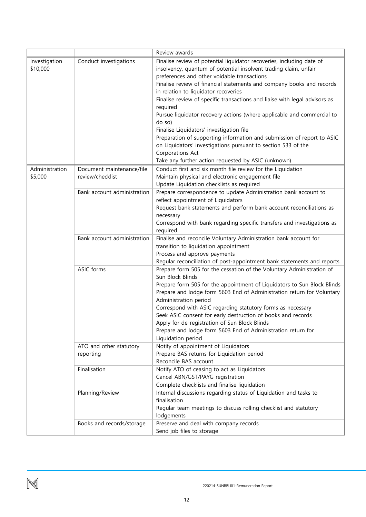|                |                             | Review awards                                                              |
|----------------|-----------------------------|----------------------------------------------------------------------------|
| Investigation  | Conduct investigations      | Finalise review of potential liquidator recoveries, including date of      |
| \$10,000       |                             | insolvency, quantum of potential insolvent trading claim, unfair           |
|                |                             | preferences and other voidable transactions                                |
|                |                             | Finalise review of financial statements and company books and records      |
|                |                             | in relation to liquidator recoveries                                       |
|                |                             | Finalise review of specific transactions and liaise with legal advisors as |
|                |                             | required                                                                   |
|                |                             | Pursue liquidator recovery actions (where applicable and commercial to     |
|                |                             | do so)                                                                     |
|                |                             | Finalise Liquidators' investigation file                                   |
|                |                             | Preparation of supporting information and submission of report to ASIC     |
|                |                             | on Liquidators' investigations pursuant to section 533 of the              |
|                |                             | Corporations Act                                                           |
|                |                             | Take any further action requested by ASIC (unknown)                        |
| Administration | Document maintenance/file   | Conduct first and six month file review for the Liquidation                |
| \$5,000        | review/checklist            | Maintain physical and electronic engagement file                           |
|                |                             | Update Liquidation checklists as required                                  |
|                | Bank account administration | Prepare correspondence to update Administration bank account to            |
|                |                             | reflect appointment of Liquidators                                         |
|                |                             | Request bank statements and perform bank account reconciliations as        |
|                |                             | necessary                                                                  |
|                |                             | Correspond with bank regarding specific transfers and investigations as    |
|                |                             | required                                                                   |
|                | Bank account administration | Finalise and reconcile Voluntary Administration bank account for           |
|                |                             | transition to liquidation appointment<br>Process and approve payments      |
|                |                             | Regular reconciliation of post-appointment bank statements and reports     |
|                | ASIC forms                  | Prepare form 505 for the cessation of the Voluntary Administration of      |
|                |                             | Sun Block Blinds                                                           |
|                |                             | Prepare form 505 for the appointment of Liquidators to Sun Block Blinds    |
|                |                             | Prepare and lodge form 5603 End of Administration return for Voluntary     |
|                |                             | Administration period                                                      |
|                |                             | Correspond with ASIC regarding statutory forms as necessary                |
|                |                             | Seek ASIC consent for early destruction of books and records               |
|                |                             | Apply for de-registration of Sun Block Blinds                              |
|                |                             | Prepare and lodge form 5603 End of Administration return for               |
|                |                             | Liquidation period                                                         |
|                | ATO and other statutory     | Notify of appointment of Liquidators                                       |
|                | reporting                   | Prepare BAS returns for Liquidation period                                 |
|                |                             | Reconcile BAS account                                                      |
|                | Finalisation                | Notify ATO of ceasing to act as Liquidators                                |
|                |                             | Cancel ABN/GST/PAYG registration                                           |
|                |                             | Complete checklists and finalise liquidation                               |
|                | Planning/Review             | Internal discussions regarding status of Liquidation and tasks to          |
|                |                             | finalisation                                                               |
|                |                             | Regular team meetings to discuss rolling checklist and statutory           |
|                |                             | lodgements                                                                 |
|                | Books and records/storage   | Preserve and deal with company records                                     |
|                |                             | Send job files to storage                                                  |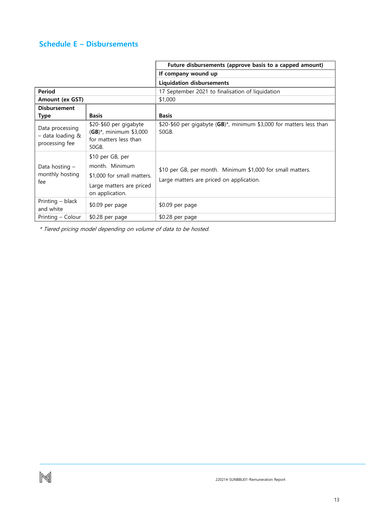## <span id="page-13-0"></span>**Schedule E – Disbursements**

|                                                       |                                                                                                                 | Future disbursements (approve basis to a capped amount)                                                |
|-------------------------------------------------------|-----------------------------------------------------------------------------------------------------------------|--------------------------------------------------------------------------------------------------------|
|                                                       |                                                                                                                 | If company wound up                                                                                    |
|                                                       |                                                                                                                 | <b>Liquidation disbursements</b>                                                                       |
| <b>Period</b>                                         |                                                                                                                 | 17 September 2021 to finalisation of liquidation                                                       |
| Amount (ex GST)                                       |                                                                                                                 | \$1,000                                                                                                |
| <b>Disbursement</b>                                   |                                                                                                                 |                                                                                                        |
| Type                                                  | <b>Basis</b>                                                                                                    | <b>Basis</b>                                                                                           |
| Data processing<br>- data loading &<br>processing fee | \$20-\$60 per gigabyte<br>$(GB)^*$ , minimum \$3,000<br>for matters less than<br>50GB.                          | \$20-\$60 per gigabyte $(GB)^*$ , minimum \$3,000 for matters less than<br>50GB.                       |
| Data hosting -<br>monthly hosting<br>fee              | \$10 per GB, per<br>month. Minimum<br>\$1,000 for small matters.<br>Large matters are priced<br>on application. | \$10 per GB, per month. Minimum \$1,000 for small matters.<br>Large matters are priced on application. |
| Printing - black<br>and white                         | \$0.09 per page                                                                                                 | \$0.09 per page                                                                                        |
| Printing – Colour                                     | \$0.28 per page                                                                                                 | \$0.28 per page                                                                                        |

\* Tiered pricing model depending on volume of data to be hosted.

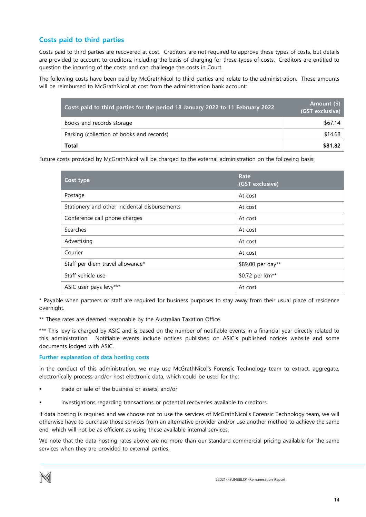### **Costs paid to third parties**

Costs paid to third parties are recovered at cost. Creditors are not required to approve these types of costs, but details are provided to account to creditors, including the basis of charging for these types of costs. Creditors are entitled to question the incurring of the costs and can challenge the costs in Court.

The following costs have been paid by McGrathNicol to third parties and relate to the administration. These amounts will be reimbursed to McGrathNicol at cost from the administration bank account:

| Costs paid to third parties for the period 18 January 2022 to 11 February 2022 | Amount (\$)<br>(GST exclusive) |
|--------------------------------------------------------------------------------|--------------------------------|
| Books and records storage                                                      | \$67.14                        |
| Parking (collection of books and records)                                      | \$14.68                        |
| Total                                                                          | \$81.82                        |

Future costs provided by McGrathNicol will be charged to the external administration on the following basis:

| Cost type                                     | Rate<br>(GST exclusive)     |
|-----------------------------------------------|-----------------------------|
| Postage                                       | At cost                     |
| Stationery and other incidental disbursements | At cost                     |
| Conference call phone charges                 | At cost                     |
| Searches                                      | At cost                     |
| Advertising                                   | At cost                     |
| Courier                                       | At cost                     |
| Staff per diem travel allowance*              | \$89.00 per day**           |
| Staff vehicle use                             | \$0.72 per km <sup>**</sup> |
| ASIC user pays levy***                        | At cost                     |

\* Payable when partners or staff are required for business purposes to stay away from their usual place of residence overnight.

\*\* These rates are deemed reasonable by the Australian Taxation Office.

\*\*\* This levy is charged by ASIC and is based on the number of notifiable events in a financial year directly related to this administration. Notifiable events include notices published on ASIC's published notices website and some documents lodged with ASIC.

### **Further explanation of data hosting costs**

In the conduct of this administration, we may use McGrathNicol's Forensic Technology team to extract, aggregate, electronically process and/or host electronic data, which could be used for the:

- trade or sale of the business or assets; and/or
- investigations regarding transactions or potential recoveries available to creditors.

If data hosting is required and we choose not to use the services of McGrathNicol's Forensic Technology team, we will otherwise have to purchase those services from an alternative provider and/or use another method to achieve the same end, which will not be as efficient as using these available internal services.

We note that the data hosting rates above are no more than our standard commercial pricing available for the same services when they are provided to external parties.

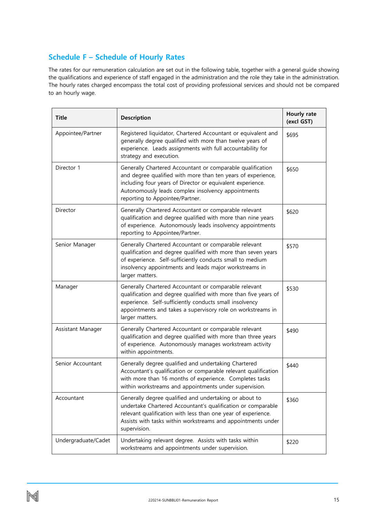### <span id="page-15-0"></span>**Schedule F – Schedule of Hourly Rates**

The rates for our remuneration calculation are set out in the following table, together with a general guide showing the qualifications and experience of staff engaged in the administration and the role they take in the administration. The hourly rates charged encompass the total cost of providing professional services and should not be compared to an hourly wage.

| <b>Title</b>                                                                                                                                                                                                                                                                          | <b>Description</b>                                                                                                                                                                                                                                                                | Hourly rate<br>(excl GST) |
|---------------------------------------------------------------------------------------------------------------------------------------------------------------------------------------------------------------------------------------------------------------------------------------|-----------------------------------------------------------------------------------------------------------------------------------------------------------------------------------------------------------------------------------------------------------------------------------|---------------------------|
| Appointee/Partner                                                                                                                                                                                                                                                                     | Registered liquidator, Chartered Accountant or equivalent and<br>generally degree qualified with more than twelve years of<br>experience. Leads assignments with full accountability for<br>strategy and execution.                                                               | \$695                     |
| Director 1                                                                                                                                                                                                                                                                            | Generally Chartered Accountant or comparable qualification<br>and degree qualified with more than ten years of experience,<br>including four years of Director or equivalent experience.<br>Autonomously leads complex insolvency appointments<br>reporting to Appointee/Partner. |                           |
| Director                                                                                                                                                                                                                                                                              | Generally Chartered Accountant or comparable relevant<br>qualification and degree qualified with more than nine years<br>of experience. Autonomously leads insolvency appointments<br>reporting to Appointee/Partner.                                                             |                           |
| Senior Manager<br>Generally Chartered Accountant or comparable relevant<br>qualification and degree qualified with more than seven years<br>of experience. Self-sufficiently conducts small to medium<br>insolvency appointments and leads major workstreams in<br>larger matters.    |                                                                                                                                                                                                                                                                                   | \$570                     |
| Generally Chartered Accountant or comparable relevant<br>Manager<br>qualification and degree qualified with more than five years of<br>experience. Self-sufficiently conducts small insolvency<br>appointments and takes a supervisory role on workstreams in<br>larger matters.      |                                                                                                                                                                                                                                                                                   | \$530                     |
| Assistant Manager                                                                                                                                                                                                                                                                     | Generally Chartered Accountant or comparable relevant<br>qualification and degree qualified with more than three years<br>of experience. Autonomously manages workstream activity<br>within appointments.                                                                         | \$490                     |
| Generally degree qualified and undertaking Chartered<br>Senior Accountant<br>Accountant's qualification or comparable relevant qualification<br>with more than 16 months of experience. Completes tasks<br>within workstreams and appointments under supervision.                     |                                                                                                                                                                                                                                                                                   | \$440                     |
| Generally degree qualified and undertaking or about to<br>Accountant<br>undertake Chartered Accountant's qualification or comparable<br>relevant qualification with less than one year of experience.<br>Assists with tasks within workstreams and appointments under<br>supervision. |                                                                                                                                                                                                                                                                                   | \$360                     |
| Undertaking relevant degree. Assists with tasks within<br>Undergraduate/Cadet<br>workstreams and appointments under supervision.                                                                                                                                                      |                                                                                                                                                                                                                                                                                   | \$220                     |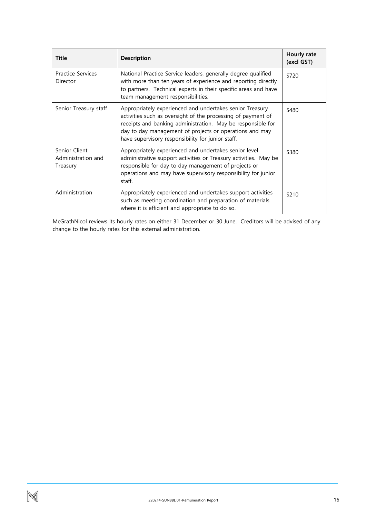| <b>Description</b><br><b>Title</b>                                                                                                                                                                                                                                                                                               |                                                                                                                                                                                                                                        | Hourly rate<br>(excl GST) |
|----------------------------------------------------------------------------------------------------------------------------------------------------------------------------------------------------------------------------------------------------------------------------------------------------------------------------------|----------------------------------------------------------------------------------------------------------------------------------------------------------------------------------------------------------------------------------------|---------------------------|
| <b>Practice Services</b><br>Director                                                                                                                                                                                                                                                                                             | National Practice Service leaders, generally degree qualified<br>with more than ten years of experience and reporting directly<br>to partners. Technical experts in their specific areas and have<br>team management responsibilities. | \$720                     |
| Appropriately experienced and undertakes senior Treasury<br>Senior Treasury staff<br>activities such as oversight of the processing of payment of<br>receipts and banking administration. May be responsible for<br>day to day management of projects or operations and may<br>have supervisory responsibility for junior staff. |                                                                                                                                                                                                                                        | \$480                     |
| Senior Client<br>Appropriately experienced and undertakes senior level<br>administrative support activities or Treasury activities. May be<br>Administration and<br>responsible for day to day management of projects or<br>Treasury<br>operations and may have supervisory responsibility for junior<br>staff.                  |                                                                                                                                                                                                                                        | \$380                     |
| Administration<br>Appropriately experienced and undertakes support activities<br>such as meeting coordination and preparation of materials<br>where it is efficient and appropriate to do so.                                                                                                                                    |                                                                                                                                                                                                                                        | \$210                     |

McGrathNicol reviews its hourly rates on either 31 December or 30 June. Creditors will be advised of any change to the hourly rates for this external administration.